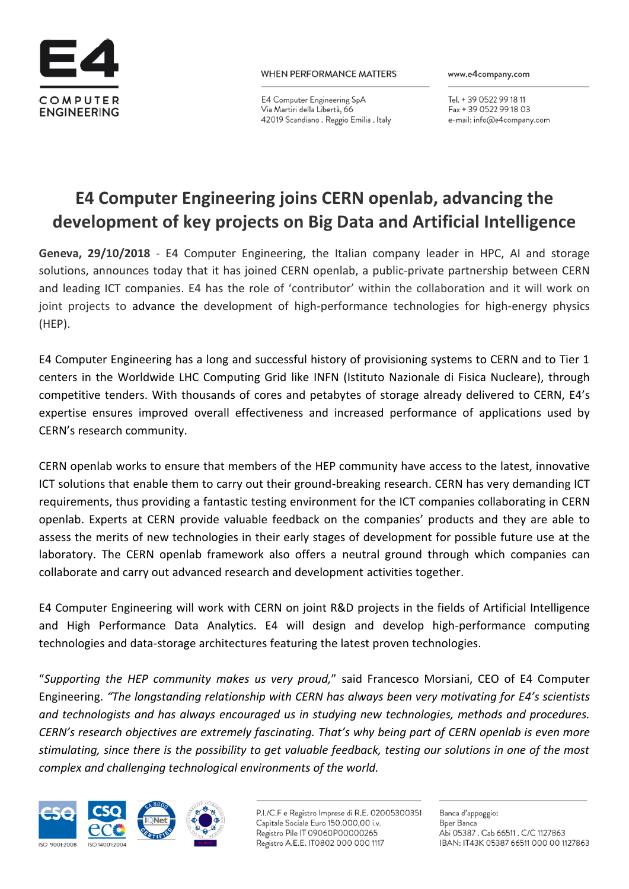

E4 Computer Engineering SpA Via Martiri della Libertà, 66 42019 Scandiano . Reggio Emilia . Italy www.e4company.com

Tel. + 39 0522 99 18 11 Fax + 39 0522 99 18 03 e-mail: info@e4company.com

## **E4 Computer Engineering joins CERN openlab, advancing the development of key projects on Big Data and Artificial Intelligence**

**Geneva, 29/10/2018** - E4 Computer Engineering, the Italian company leader in HPC, AI and storage solutions, announces today that it has joined CERN openlab, a public-private partnership between CERN and leading ICT companies. E4 has the role of 'contributor' within the collaboration and it will work on joint projects to advance the development of high-performance technologies for high-energy physics (HEP).

E4 Computer Engineering has a long and successful history of provisioning systems to CERN and to Tier 1 centers in the Worldwide LHC Computing Grid like INFN (Istituto Nazionale di Fisica Nucleare), through competitive tenders. With thousands of cores and petabytes of storage already delivered to CERN, E4's expertise ensures improved overall effectiveness and increased performance of applications used by CERN's research community.

CERN openlab works to ensure that members of the HEP community have access to the latest, innovative ICT solutions that enable them to carry out their ground-breaking research. CERN has very demanding ICT requirements, thus providing a fantastic testing environment for the ICT companies collaborating in CERN openlab. Experts at CERN provide valuable feedback on the companies' products and they are able to assess the merits of new technologies in their early stages of development for possible future use at the laboratory. The CERN openlab framework also offers a neutral ground through which companies can collaborate and carry out advanced research and development activities together.

E4 Computer Engineering will work with CERN on joint R&D projects in the fields of Artificial Intelligence and High Performance Data Analytics. E4 will design and develop high-performance computing technologies and data-storage architectures featuring the latest proven technologies.

"*Supporting the HEP community makes us very proud,*" said Francesco Morsiani, CEO of E4 Computer Engineering. *"The longstanding relationship with CERN has always been very motivating for E4's scientists and technologists and has always encouraged us in studying new technologies, methods and procedures. CERN's research objectives are extremely fascinating. That's why being part of CERN openlab is even more stimulating, since there is the possibility to get valuable feedback, testing our solutions in one of the most complex and challenging technological environments of the world.*



P.I./C.F e Registro Imprese di R.E. 02005300351 Capitale Sociale Euro 150.000,00 i.v. Registro Pile IT 09060P00000265 Registro A.E.E. IT0802 000 000 1117

Banca d'appoggio: **B**per Banca Abi 05387. Cab 66511. C/C 1127863 IBAN: IT43K 05387 66511 000 00 1127863